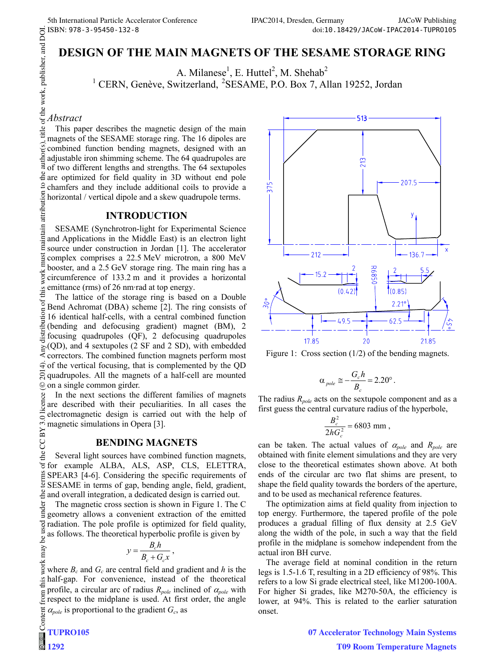# **DESIGN OF THE MAIN MAGNETS OF THE SESAME STORAGE RING**

A. Milanese<sup>1</sup>, E. Huttel<sup>2</sup>, M. Shehab<sup>2</sup>

A. Milanese<sup>1</sup>, E. Huttel<sup>2</sup>, M. Shehab<sup>2</sup><br><sup>1</sup> CERN, Genève, Switzerland, <sup>2</sup>SESAME, P.O. Box 7, Allan 19252, Jordan

# *Abstract*

This paper describes the magnetic design of the main magnets of the SESAME storage ring. The 16 dipoles are combined function bending magnets, designed with an adjustable iron shimming scheme. The 64 quadrupoles are of two different lengths and strengths. The 64 sextupoles  $\frac{3}{2}$  are optimized for field quality in 3D without end pole chamfers and they include additional coils to provide a horizontal / vertical dipole and a skew quadrupole terms.

# **INTRODUCTION**

maintain attribution SESAME (Synchrotron-light for Experimental Science and Applications in the Middle East) is an electron light source under construction in Jordan [1]. The accelerator must complex comprises a 22.5 MeV microtron, a 800 MeV booster, and a 2.5 GeV storage ring. The main ring has a work: circumference of 133.2 m and it provides a horizontal emittance (rms) of 26 nm·rad at top energy.

 $\frac{\partial 2014}{\partial \alpha}$ . Any distribution of this work must maintain attribution to the author(s), title of the work, publisher, and DOI.<br> $\alpha \in \alpha$ ,  $\alpha \in \mathbb{R}$ ,  $\alpha \in \alpha$ ,  $\alpha$ ,  $\alpha$ ,  $\alpha$ ,  $\alpha$ ,  $\alpha$ ,  $\alpha$ ,  $\alpha$ ,  $\alpha$ ,  $\alpha$ , The lattice of the storage ring is based on a Double ď Bend Achromat (DBA) scheme [2]. The ring consists of 16 identical half-cells, with a central combined function (bending and defocusing gradient) magnet (BM), 2 focusing quadrupoles (QF), 2 defocusing quadrupoles  $\geq$  (QD), and 4 sextupoles (2 SF and 2 SD), with embedded correctors. The combined function magnets perform most  $\widehat{\mathcal{F}}$  of the vertical focusing, that is complemented by the QD  $\overline{Q}$  quadrupoles. All the magnets of a half-cell are mounted on a single common girder. ©

ce In the next sections the different families of magnets licen are described with their peculiarities. In all cases the electromagnetic design is carried out with the help of BY 3.0 magnetic simulations in Opera [3].

# **BENDING MAGNETS**

Content from this work may be used under the terms of the CC BY 3.0 licence ( $\epsilon$ the Several light sources have combined function magnets,  $\sigma$ for example ALBA, ALS, ASP, CLS, ELETTRA, SPEAR3 [4-6]. Considering the specific requirements of SESAME in terms of gap, bending angle, field, gradient, and overall integration, a dedicated design is carried out.

under The magnetic cross section is shown in Figure 1. The C geometry allows a convenient extraction of the emitted used radiation. The pole profile is optimized for field quality, as follows. The theoretical hyperbolic profile is given by ತೆ

$$
y = \frac{B_c h}{B_c + G_c x},
$$

work may where  $B_c$  and  $G_c$  are central field and gradient and  $h$  is the half-gap. For convenience, instead of the theoretical profile, a circular arc of radius  $R_{pole}$  inclined of  $\alpha_{pole}$  with from t respect to the midplane is used. At first order, the angle  $\alpha_{pole}$  is proportional to the gradient  $G_c$ , as



Figure 1: Cross section (1/2) of the bending magnets.

$$
\alpha_{pole} \cong -\frac{G_c h}{B_c} = 2.20^\circ.
$$

The radius *Rpole* acts on the sextupole component and as a first guess the central curvature radius of the hyperbole,

$$
\frac{B_c^2}{2hG_c^2} = 6803 \text{ mm},
$$

can be taken. The actual values of  $\alpha_{pole}$  and  $R_{pole}$  are obtained with finite element simulations and they are very close to the theoretical estimates shown above. At both ends of the circular arc two flat shims are present, to shape the field quality towards the borders of the aperture, and to be used as mechanical reference features.

The optimization aims at field quality from injection to top energy. Furthermore, the tapered profile of the pole produces a gradual filling of flux density at 2.5 GeV along the width of the pole, in such a way that the field profile in the midplane is somehow independent from the actual iron BH curve.

The average field at nominal condition in the return legs is 1.5-1.6 T, resulting in a 2D efficiency of 98%. This refers to a low Si grade electrical steel, like M1200-100A. For higher Si grades, like M270-50A, the efficiency is lower, at 94%. This is related to the earlier saturation onset.

 $\overline{C}$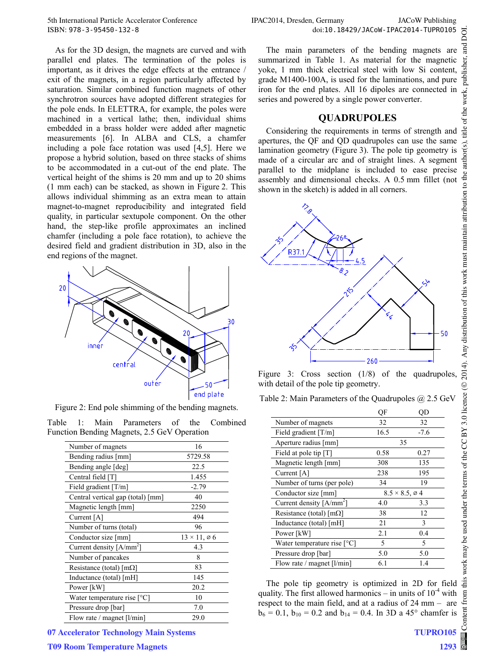As for the 3D design, the magnets are curved and with parallel end plates. The termination of the poles is important, as it drives the edge effects at the entrance / exit of the magnets, in a region particularly affected by saturation. Similar combined function magnets of other synchrotron sources have adopted different strategies for the pole ends. In ELETTRA, for example, the poles were machined in a vertical lathe; then, individual shims embedded in a brass holder were added after magnetic measurements [6]. In ALBA and CLS, a chamfer including a pole face rotation was used [4,5]. Here we propose a hybrid solution, based on three stacks of shims to be accommodated in a cut-out of the end plate. The vertical height of the shims is 20 mm and up to 20 shims (1 mm each) can be stacked, as shown in Figure 2. This allows individual shimming as an extra mean to attain magnet-to-magnet reproducibility and integrated field quality, in particular sextupole component. On the other hand, the step-like profile approximates an inclined chamfer (including a pole face rotation), to achieve the desired field and gradient distribution in 3D, also in the end regions of the magnet.



Figure 2: End pole shimming of the bending magnets.

|  | Table 1: Main Parameters of the Combined    |  |  |
|--|---------------------------------------------|--|--|
|  | Function Bending Magnets, 2.5 GeV Operation |  |  |

| Number of magnets                 | 16                          |
|-----------------------------------|-----------------------------|
| Bending radius [mm]               | 5729.58                     |
| Bending angle [deg]               | 22.5                        |
| Central field [T]                 | 1.455                       |
| Field gradient $[T/m]$            | $-2.79$                     |
| Central vertical gap (total) [mm] | 40                          |
| Magnetic length [mm]              | 2250                        |
| Current [A]                       | 494                         |
| Number of turns (total)           | 96                          |
| Conductor size [mm]               | $13 \times 11, \emptyset 6$ |
| Current density $[A/mm^2]$        | 4.3                         |
| Number of pancakes                | 8                           |
| Resistance (total) $[m\Omega]$    | 83                          |
| Inductance (total) [mH]           | 145                         |
| Power [kW]                        | 20.2                        |
| Water temperature rise $[°C]$     | 10                          |
| Pressure drop [bar]               | 7.0                         |
| Flow rate / magnet [l/min]        | 29.0                        |



The main parameters of the bending magnets are summarized in Table 1. As material for the magnetic yoke, 1 mm thick electrical steel with low Si content, grade M1400-100A, is used for the laminations, and pure iron for the end plates. All 16 dipoles are connected in series and powered by a single power converter.

## **QUADRUPOLES**

Considering the requirements in terms of strength and apertures, the QF and QD quadrupoles can use the same lamination geometry (Figure 3). The pole tip geometry is made of a circular arc and of straight lines. A segment parallel to the midplane is included to ease precise assembly and dimensional checks. A 0.5 mm fillet (not shown in the sketch) is added in all corners.



Figure 3: Cross section  $(1/8)$  of the quadrupoles with detail of the pole tip geometry.

| Table 2: Main Parameters of the Quadrupoles $@$ 2.5 GeV |  |  |
|---------------------------------------------------------|--|--|
|                                                         |  |  |

|                                | ОF   | ЭD                                 |
|--------------------------------|------|------------------------------------|
| Number of magnets              | 32   | 32                                 |
| Field gradient $[T/m]$         | 16.5 | $-7.6$                             |
| Aperture radius [mm]           |      | 35                                 |
| Field at pole tip [T]          | 0.58 | 0.27                               |
| Magnetic length [mm]           | 308  | 135                                |
| Current [A]                    | 238  | 195                                |
| Number of turns (per pole)     | 34   | 19                                 |
| Conductor size [mm]            |      | $8.5 \times 8.5$ , $\varnothing$ 4 |
| Current density $[A/mm^2]$     | 4.0  | 3.3                                |
| Resistance (total) $[m\Omega]$ | 38   | 12                                 |
| Inductance (total) [mH]        | 21   | 3                                  |
| Power [kW]                     | 2.1  | 0.4                                |
| Water temperature rise $[°C]$  | 5    | 5                                  |
|                                |      |                                    |
| Pressure drop [bar]            | 5.0  | 5.0                                |

The pole tip geometry is optimized in 2D for field quality. The first allowed harmonics – in units of  $10^{-4}$  with respect to the main field, and at a radius of 24 mm – are  $b_6 = 0.1$ ,  $b_{10} = 0.2$  and  $b_{14} = 0.4$ . In 3D a 45° chamfer is